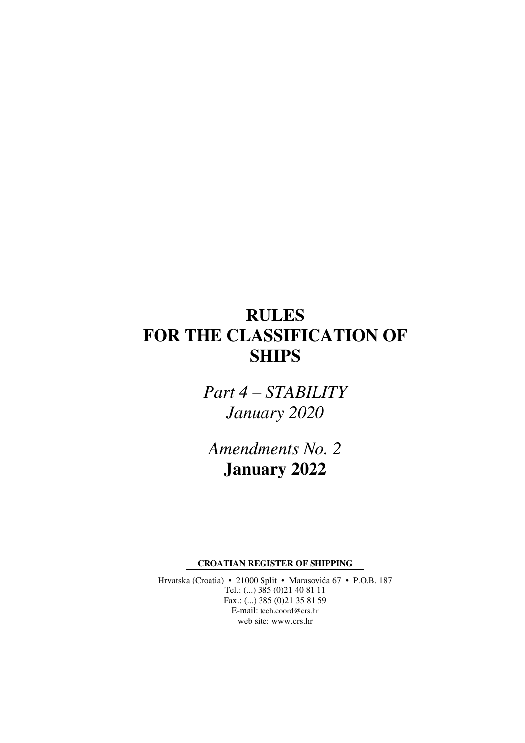# **RULES FOR THE CLASSIFICATION OF SHIPS**

*Part 4 – STABILITY January 2020* 

*Amendments No. 2*  **January 2022** 

**CROATIAN REGISTER OF SHIPPING** 

Hrvatska (Croatia) • 21000 Split • Marasovića 67 • P.O.B. 187 Tel.: (...) 385 (0)21 40 81 11 Fax.: (...) 385 (0)21 35 81 59 E-mail: tech.coord@crs.hr web site: www.crs.hr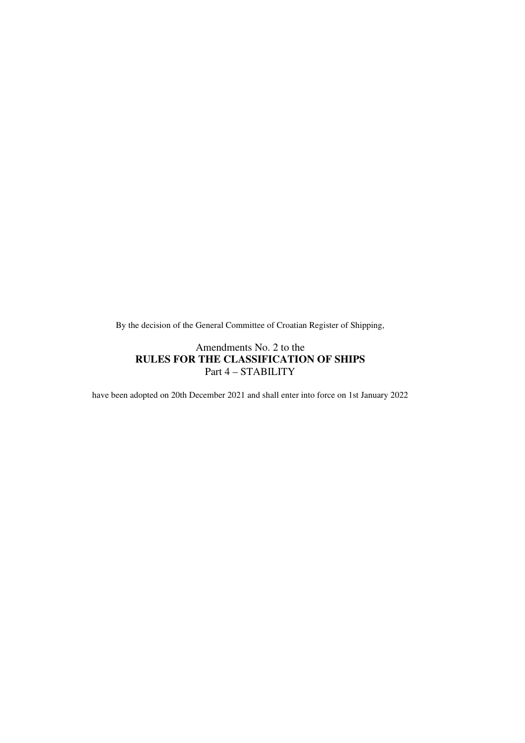By the decision of the General Committee of Croatian Register of Shipping,

#### Amendments No. 2 to the **RULES FOR THE CLASSIFICATION OF SHIPS**  Part 4 – STABILITY

have been adopted on 20th December 2021 and shall enter into force on 1st January 2022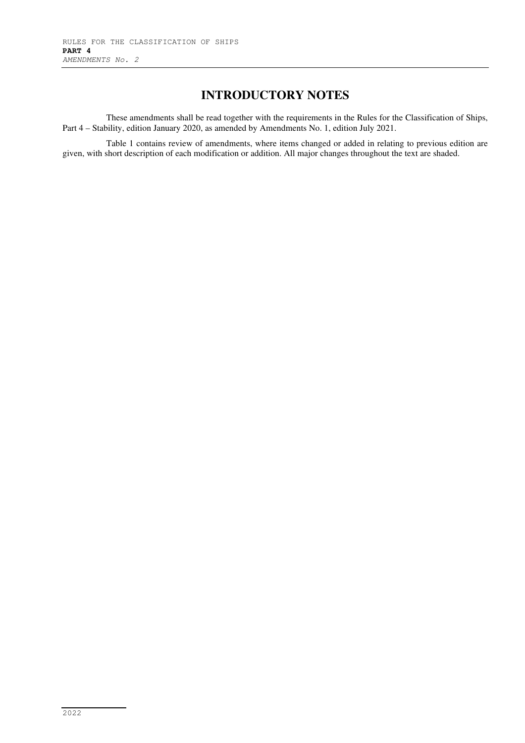## **INTRODUCTORY NOTES**

These amendments shall be read together with the requirements in the Rules for the Classification of Ships, Part 4 – Stability, edition January 2020, as amended by Amendments No. 1, edition July 2021.

Table 1 contains review of amendments, where items changed or added in relating to previous edition are given, with short description of each modification or addition. All major changes throughout the text are shaded.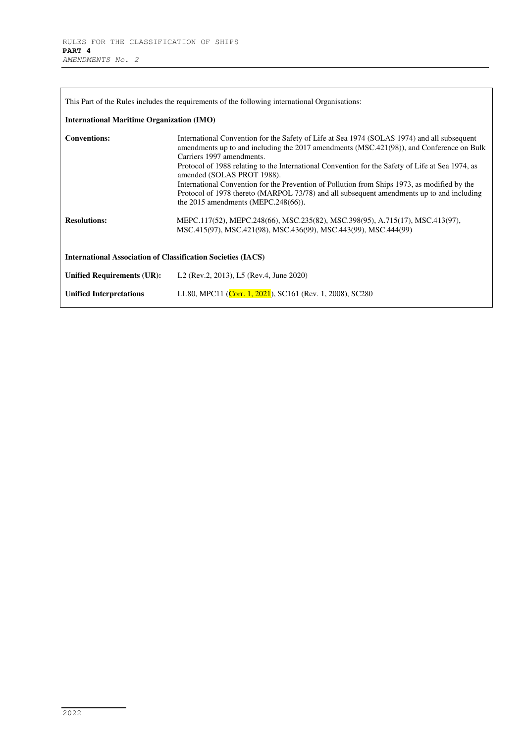| This Part of the Rules includes the requirements of the following international Organisations:<br><b>International Maritime Organization (IMO)</b> |                                                                                                                                                                                                                                                                                                                                                                                                                                                                                                                                                     |  |  |  |  |  |  |  |  |
|----------------------------------------------------------------------------------------------------------------------------------------------------|-----------------------------------------------------------------------------------------------------------------------------------------------------------------------------------------------------------------------------------------------------------------------------------------------------------------------------------------------------------------------------------------------------------------------------------------------------------------------------------------------------------------------------------------------------|--|--|--|--|--|--|--|--|
| <b>Conventions:</b>                                                                                                                                | International Convention for the Safety of Life at Sea 1974 (SOLAS 1974) and all subsequent<br>amendments up to and including the 2017 amendments (MSC.421(98)), and Conference on Bulk<br>Carriers 1997 amendments.<br>Protocol of 1988 relating to the International Convention for the Safety of Life at Sea 1974, as<br>amended (SOLAS PROT 1988).<br>International Convention for the Prevention of Pollution from Ships 1973, as modified by the<br>Protocol of 1978 thereto (MARPOL 73/78) and all subsequent amendments up to and including |  |  |  |  |  |  |  |  |
| <b>Resolutions:</b><br><b>International Association of Classification Societies (IACS)</b>                                                         | the $2015$ amendments (MEPC.248(66)).<br>MEPC.117(52), MEPC.248(66), MSC.235(82), MSC.398(95), A.715(17), MSC.413(97),<br>MSC.415(97), MSC.421(98), MSC.436(99), MSC.443(99), MSC.444(99)                                                                                                                                                                                                                                                                                                                                                           |  |  |  |  |  |  |  |  |
| <b>Unified Requirements (UR):</b>                                                                                                                  | L <sub>2</sub> (Rev.2, 2013), L <sub>2</sub> (Rev.4, June 2020)                                                                                                                                                                                                                                                                                                                                                                                                                                                                                     |  |  |  |  |  |  |  |  |
| <b>Unified Interpretations</b>                                                                                                                     | LL80, MPC11 (Corr. 1, 2021), SC161 (Rev. 1, 2008), SC280                                                                                                                                                                                                                                                                                                                                                                                                                                                                                            |  |  |  |  |  |  |  |  |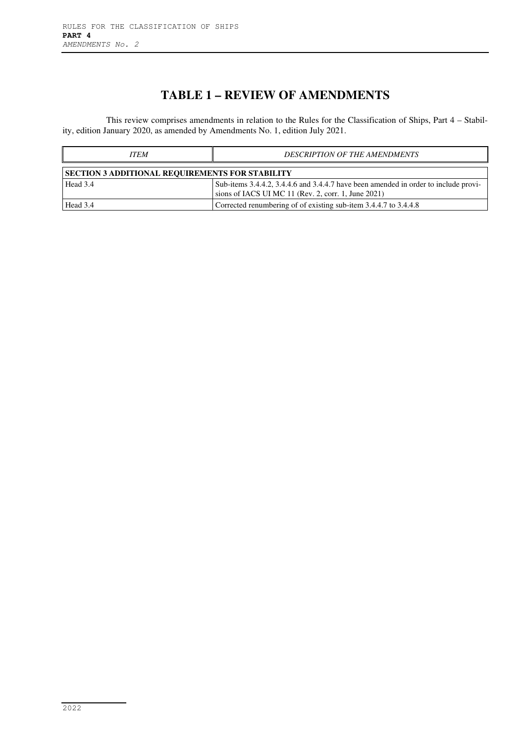## **TABLE 1 – REVIEW OF AMENDMENTS**

This review comprises amendments in relation to the Rules for the Classification of Ships, Part 4 – Stability, edition January 2020, as amended by Amendments No. 1, edition July 2021.

| <b>ITEM</b>                                            | <b>DESCRIPTION OF THE AMENDMENTS</b>                                                                                                       |  |  |  |  |  |  |  |  |
|--------------------------------------------------------|--------------------------------------------------------------------------------------------------------------------------------------------|--|--|--|--|--|--|--|--|
| <b>SECTION 3 ADDITIONAL REQUIREMENTS FOR STABILITY</b> |                                                                                                                                            |  |  |  |  |  |  |  |  |
| Head 3.4                                               | Sub-items 3.4.4.2, 3.4.4.6 and 3.4.4.7 have been amended in order to include provi-<br>sions of IACS UI MC 11 (Rev. 2, corr. 1, June 2021) |  |  |  |  |  |  |  |  |
| Head 3.4                                               | Corrected renumbering of of existing sub-item 3.4.4.7 to 3.4.4.8                                                                           |  |  |  |  |  |  |  |  |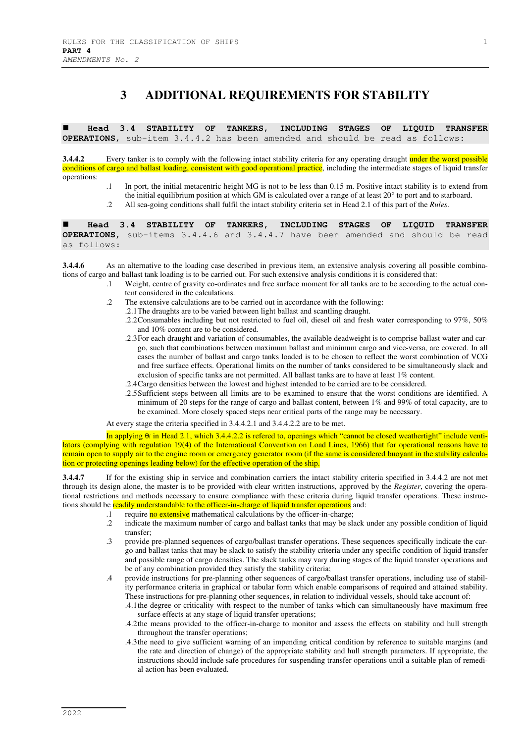#### **3 ADDITIONAL REQUIREMENTS FOR STABILITY**

 **Head 3.4 STABILITY OF TANKERS, INCLUDING STAGES OF LIQUID TRANSFER OPERATIONS,** sub-item 3.4.4.2 has been amended and should be read as follows:

**3.4.4.2** Every tanker is to comply with the following intact stability criteria for any operating draught under the worst possible conditions of cargo and ballast loading, consistent with good operational practice, including the intermediate stages of liquid transfer operations:

- .1 In port, the initial metacentric height MG is not to be less than 0.15 m. Positive intact stability is to extend from the initial equilibrium position at which GM is calculated over a range of at least 20° to port and to starboard.
- .2 All sea-going conditions shall fulfil the intact stability criteria set in Head 2.1 of this part of the *Rules*.

 **Head 3.4 STABILITY OF TANKERS, INCLUDING STAGES OF LIQUID TRANSFER OPERATIONS,** sub-items 3.4.4.6 and 3.4.4.7 have been amended and should be read as follows:

**3.4.4.6** As an alternative to the loading case described in previous item, an extensive analysis covering all possible combinations of cargo and ballast tank loading is to be carried out. For such extensive analysis conditions it is considered that:

- .1 Weight, centre of gravity co-ordinates and free surface moment for all tanks are to be according to the actual content considered in the calculations.
- .2 The extensive calculations are to be carried out in accordance with the following:
	- .2.1 The draughts are to be varied between light ballast and scantling draught.
	- .2.2 Consumables including but not restricted to fuel oil, diesel oil and fresh water corresponding to 97%, 50% and 10% content are to be considered.
	- .2.3 For each draught and variation of consumables, the available deadweight is to comprise ballast water and cargo, such that combinations between maximum ballast and minimum cargo and vice-versa, are covered. In all cases the number of ballast and cargo tanks loaded is to be chosen to reflect the worst combination of VCG and free surface effects. Operational limits on the number of tanks considered to be simultaneously slack and exclusion of specific tanks are not permitted. All ballast tanks are to have at least 1% content.
	- .2.4 Cargo densities between the lowest and highest intended to be carried are to be considered.
	- .2.5 Sufficient steps between all limits are to be examined to ensure that the worst conditions are identified. A minimum of 20 steps for the range of cargo and ballast content, between 1% and 99% of total capacity, are to be examined. More closely spaced steps near critical parts of the range may be necessary.

At every stage the criteria specified in 3.4.4.2.1 and 3.4.4.2.2 are to be met.

In applying θf in Head 2.1, which 3.4.4.2.2 is refered to, openings which "cannot be closed weathertight" include ventilators (complying with regulation 19(4) of the International Convention on Load Lines, 1966) that for operational reasons have to remain open to supply air to the engine room or emergency generator room (if the same is considered buoyant in the stability calculation or protecting openings leading below) for the effective operation of the ship.

**3.4.4.7** If for the existing ship in service and combination carriers the intact stability criteria specified in 3.4.4.2 are not met through its design alone, the master is to be provided with clear written instructions, approved by the *Register*, covering the operational restrictions and methods necessary to ensure compliance with these criteria during liquid transfer operations. These instructions should be readily understandable to the officer-in-charge of liquid transfer operations and:

- .1 require no extensive mathematical calculations by the officer-in-charge;
- .2 indicate the maximum number of cargo and ballast tanks that may be slack under any possible condition of liquid transfer;
- .3 provide pre-planned sequences of cargo/ballast transfer operations. These sequences specifically indicate the cargo and ballast tanks that may be slack to satisfy the stability criteria under any specific condition of liquid transfer and possible range of cargo densities. The slack tanks may vary during stages of the liquid transfer operations and be of any combination provided they satisfy the stability criteria;
- .4 provide instructions for pre-planning other sequences of cargo/ballast transfer operations, including use of stability performance criteria in graphical or tabular form which enable comparisons of required and attained stability. These instructions for pre-planning other sequences, in relation to individual vessels, should take account of:
	- .4.1 the degree or criticality with respect to the number of tanks which can simultaneously have maximum free surface effects at any stage of liquid transfer operations;
	- .4.2 the means provided to the officer-in-charge to monitor and assess the effects on stability and hull strength throughout the transfer operations;
	- .4.3 the need to give sufficient warning of an impending critical condition by reference to suitable margins (and the rate and direction of change) of the appropriate stability and hull strength parameters. If appropriate, the instructions should include safe procedures for suspending transfer operations until a suitable plan of remedial action has been evaluated.